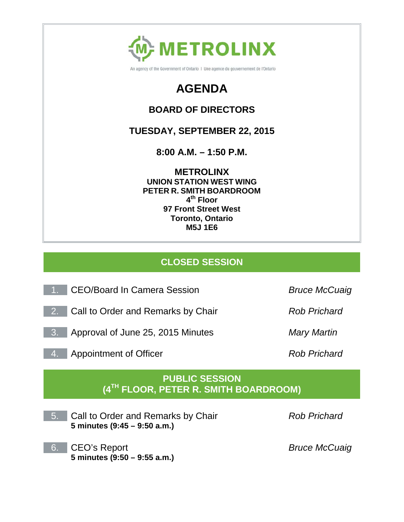

An agency of the Government of Ontario | Une agence du gouvernement de l'Ontario

# **AGENDA**

### **BOARD OF DIRECTORS**

## **TUESDAY, SEPTEMBER 22, 2015**

**8:00 A.M. – 1:50 P.M.**

**METROLINX UNION STATION WEST WING PETER R. SMITH BOARDROOM 4th Floor 97 Front Street West Toronto, Ontario M5J 1E6**

## **CLOSED SESSION**

- 1. CEO/Board In Camera Session *Bruce McCuaig*
- 2. Call to Order and Remarks by Chair *Rob Prichard*
- 3. Approval of June 25, 2015 Minutes *Mary Martin*
- 4. Appointment of Officer *Rob Prichard*

### **PUBLIC SESSION (4TH FLOOR, PETER R. SMITH BOARDROOM)**

5. Call to Order and Remarks by Chair **5 minutes (9:45 – 9:50 a.m.)**

6. CEO's Report **5 minutes (9:50 – 9:55 a.m.)** *Bruce McCuaig*

*Rob Prichard*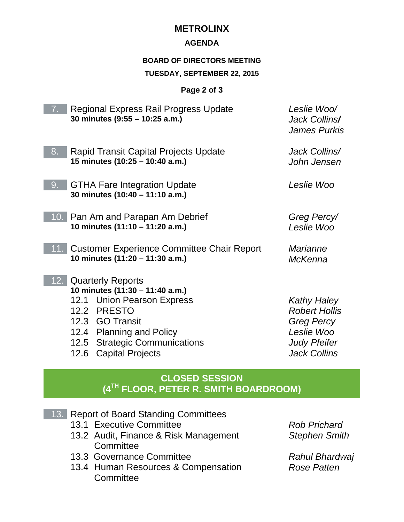### **METROLINX**

#### **AGENDA**

#### **BOARD OF DIRECTORS MEETING**

#### **TUESDAY, SEPTEMBER 22, 2015**

#### **Page 2 of 3**

| 7.  | <b>Regional Express Rail Progress Update</b><br>30 minutes (9:55 - 10:25 a.m.)                                                                                                                                              | Leslie Woo/<br>Jack Collins/<br><b>James Purkis</b>                                                                         |
|-----|-----------------------------------------------------------------------------------------------------------------------------------------------------------------------------------------------------------------------------|-----------------------------------------------------------------------------------------------------------------------------|
| 8.  | <b>Rapid Transit Capital Projects Update</b><br>15 minutes (10:25 - 10:40 a.m.)                                                                                                                                             | Jack Collins/<br>John Jensen                                                                                                |
| 9.  | <b>GTHA Fare Integration Update</b><br>30 minutes (10:40 - 11:10 a.m.)                                                                                                                                                      | Leslie Woo                                                                                                                  |
|     | 10. Pan Am and Parapan Am Debrief<br>10 minutes (11:10 - 11:20 a.m.)                                                                                                                                                        | Greg Percy/<br>Leslie Woo                                                                                                   |
| 11. | <b>Customer Experience Committee Chair Report</b><br>10 minutes (11:20 - 11:30 a.m.)                                                                                                                                        | <b>Marianne</b><br><b>McKenna</b>                                                                                           |
| 12. | <b>Quarterly Reports</b><br>10 minutes (11:30 - 11:40 a.m.)<br>12.1 Union Pearson Express<br>12.2 PRESTO<br>12.3 GO Transit<br>12.4 Planning and Policy<br>12.5 Strategic Communications<br><b>Capital Projects</b><br>12.6 | <b>Kathy Haley</b><br><b>Robert Hollis</b><br><b>Greg Percy</b><br>Leslie Woo<br><b>Judy Pfeifer</b><br><b>Jack Collins</b> |

### **CLOSED SESSION (4TH FLOOR, PETER R. SMITH BOARDROOM)**

- 13. Report of Board Standing Committees
	- 13.1 Executive Committee
	- 13.2 Audit, Finance & Risk Management **Committee**
	- 13.3 Governance Committee
	- 13.4 Human Resources & Compensation **Committee**

*Rob Prichard Stephen Smith*

*Rahul Bhardwaj Rose Patten*